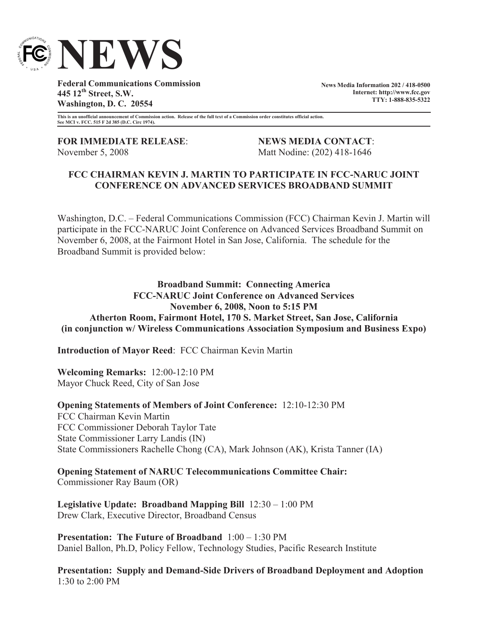

**Federal Communications Commission 445 12th Street, S.W. Washington, D. C. 20554**

**News Media Information 202 / 418-0500 Internet: http://www.fcc.gov TTY: 1-888-835-5322**

**This is an unofficial announcement of Commission action. Release of the full text of a Commission order constitutes official action. See MCI v. FCC. 515 F 2d 385 (D.C. Circ 1974).**

**FOR IMMEDIATE RELEASE**: **NEWS MEDIA CONTACT**: November 5, 2008 Matt Nodine: (202) 418-1646

# **FCC CHAIRMAN KEVIN J. MARTIN TO PARTICIPATE IN FCC-NARUC JOINT CONFERENCE ON ADVANCED SERVICES BROADBAND SUMMIT**

Washington, D.C. – Federal Communications Commission (FCC) Chairman Kevin J. Martin will participate in the FCC-NARUC Joint Conference on Advanced Services Broadband Summit on November 6, 2008, at the Fairmont Hotel in San Jose, California. The schedule for the Broadband Summit is provided below:

**Broadband Summit: Connecting America FCC-NARUC Joint Conference on Advanced Services November 6, 2008, Noon to 5:15 PM Atherton Room, Fairmont Hotel, 170 S. Market Street, San Jose, California (in conjunction w/ Wireless Communications Association Symposium and Business Expo)**

**Introduction of Mayor Reed**: FCC Chairman Kevin Martin

**Welcoming Remarks:** 12:00-12:10 PM Mayor Chuck Reed, City of San Jose

**Opening Statements of Members of Joint Conference:** 12:10-12:30 PM FCC Chairman Kevin Martin FCC Commissioner Deborah Taylor Tate State Commissioner Larry Landis (IN) State Commissioners Rachelle Chong (CA), Mark Johnson (AK), Krista Tanner (IA)

**Opening Statement of NARUC Telecommunications Committee Chair:** Commissioner Ray Baum (OR)

**Legislative Update: Broadband Mapping Bill** 12:30 – 1:00 PM Drew Clark, Executive Director, Broadband Census

**Presentation: The Future of Broadband** 1:00 – 1:30 PM Daniel Ballon, Ph.D, Policy Fellow, Technology Studies, Pacific Research Institute

**Presentation: Supply and Demand-Side Drivers of Broadband Deployment and Adoption**  1:30 to 2:00 PM